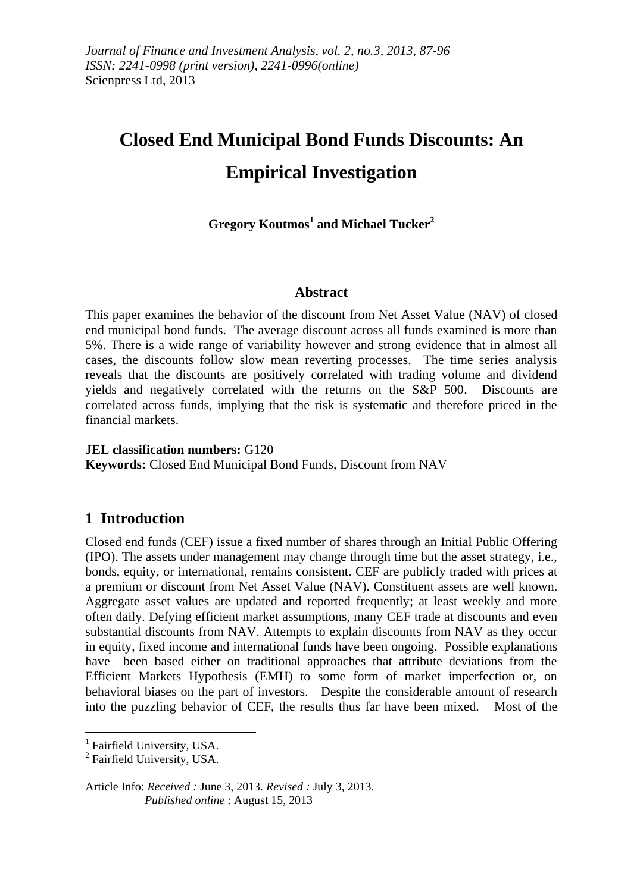# **Closed End Municipal Bond Funds Discounts: An Empirical Investigation**

**Gregory Koutmos<sup>1</sup> and Michael Tucker<sup>2</sup>**

## **Abstract**

This paper examines the behavior of the discount from Net Asset Value (NAV) of closed end municipal bond funds. The average discount across all funds examined is more than 5%. There is a wide range of variability however and strong evidence that in almost all cases, the discounts follow slow mean reverting processes. The time series analysis reveals that the discounts are positively correlated with trading volume and dividend yields and negatively correlated with the returns on the S&P 500. Discounts are correlated across funds, implying that the risk is systematic and therefore priced in the financial markets.

**JEL classification numbers:** G120 **Keywords:** Closed End Municipal Bond Funds, Discount from NAV

# **1 Introduction**

Closed end funds (CEF) issue a fixed number of shares through an Initial Public Offering (IPO). The assets under management may change through time but the asset strategy, i.e., bonds, equity, or international, remains consistent. CEF are publicly traded with prices at a premium or discount from Net Asset Value (NAV). Constituent assets are well known. Aggregate asset values are updated and reported frequently; at least weekly and more often daily. Defying efficient market assumptions, many CEF trade at discounts and even substantial discounts from NAV. Attempts to explain discounts from NAV as they occur in equity, fixed income and international funds have been ongoing. Possible explanations have been based either on traditional approaches that attribute deviations from the Efficient Markets Hypothesis (EMH) to some form of market imperfection or, on behavioral biases on the part of investors. Despite the considerable amount of research into the puzzling behavior of CEF, the results thus far have been mixed. Most of the

1

Article Info: *Received :* June 3, 2013*. Revised :* July 3, 2013.  *Published online* : August 15, 2013

<sup>&</sup>lt;sup>1</sup> Fairfield University, USA.

<sup>&</sup>lt;sup>2</sup> Fairfield University, USA.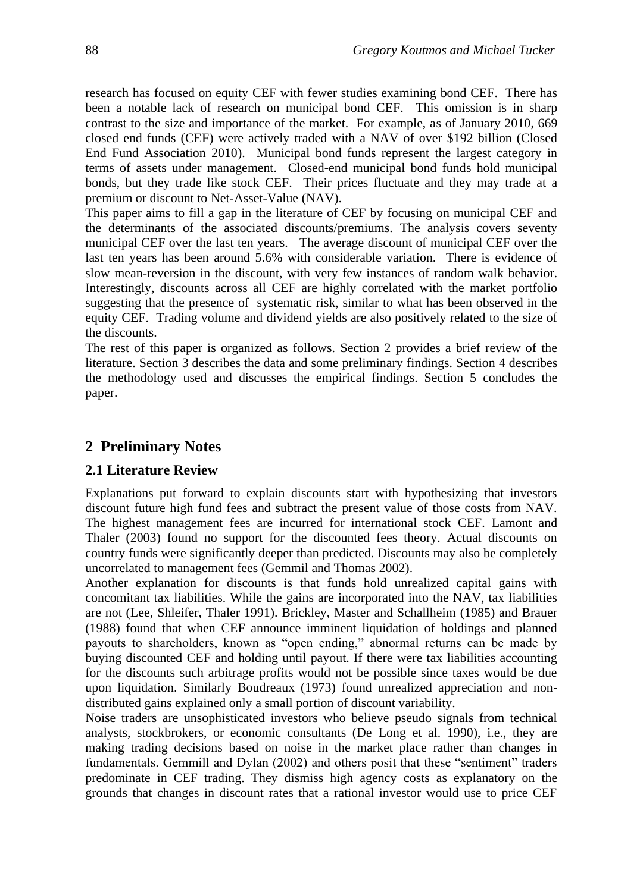research has focused on equity CEF with fewer studies examining bond CEF. There has been a notable lack of research on municipal bond CEF. This omission is in sharp contrast to the size and importance of the market. For example, as of January 2010, 669 closed end funds (CEF) were actively traded with a NAV of over \$192 billion (Closed End Fund Association 2010). Municipal bond funds represent the largest category in terms of assets under management. Closed-end municipal bond funds hold municipal bonds, but they trade like stock CEF. Their prices fluctuate and they may trade at a premium or discount to Net-Asset-Value (NAV).

This paper aims to fill a gap in the literature of CEF by focusing on municipal CEF and the determinants of the associated discounts/premiums. The analysis covers seventy municipal CEF over the last ten years. The average discount of municipal CEF over the last ten years has been around 5.6% with considerable variation. There is evidence of slow mean-reversion in the discount, with very few instances of random walk behavior. Interestingly, discounts across all CEF are highly correlated with the market portfolio suggesting that the presence of systematic risk, similar to what has been observed in the equity CEF. Trading volume and dividend yields are also positively related to the size of the discounts.

The rest of this paper is organized as follows. Section 2 provides a brief review of the literature. Section 3 describes the data and some preliminary findings. Section 4 describes the methodology used and discusses the empirical findings. Section 5 concludes the paper.

# **2 Preliminary Notes**

## **2.1 Literature Review**

Explanations put forward to explain discounts start with hypothesizing that investors discount future high fund fees and subtract the present value of those costs from NAV. The highest management fees are incurred for international stock CEF. Lamont and Thaler (2003) found no support for the discounted fees theory. Actual discounts on country funds were significantly deeper than predicted. Discounts may also be completely uncorrelated to management fees (Gemmil and Thomas 2002).

Another explanation for discounts is that funds hold unrealized capital gains with concomitant tax liabilities. While the gains are incorporated into the NAV, tax liabilities are not (Lee, Shleifer, Thaler 1991). Brickley, Master and Schallheim (1985) and Brauer (1988) found that when CEF announce imminent liquidation of holdings and planned payouts to shareholders, known as "open ending," abnormal returns can be made by buying discounted CEF and holding until payout. If there were tax liabilities accounting for the discounts such arbitrage profits would not be possible since taxes would be due upon liquidation. Similarly Boudreaux (1973) found unrealized appreciation and nondistributed gains explained only a small portion of discount variability.

Noise traders are unsophisticated investors who believe pseudo signals from technical analysts, stockbrokers, or economic consultants (De Long et al. 1990), i.e., they are making trading decisions based on noise in the market place rather than changes in fundamentals. Gemmill and Dylan (2002) and others posit that these "sentiment" traders predominate in CEF trading. They dismiss high agency costs as explanatory on the grounds that changes in discount rates that a rational investor would use to price CEF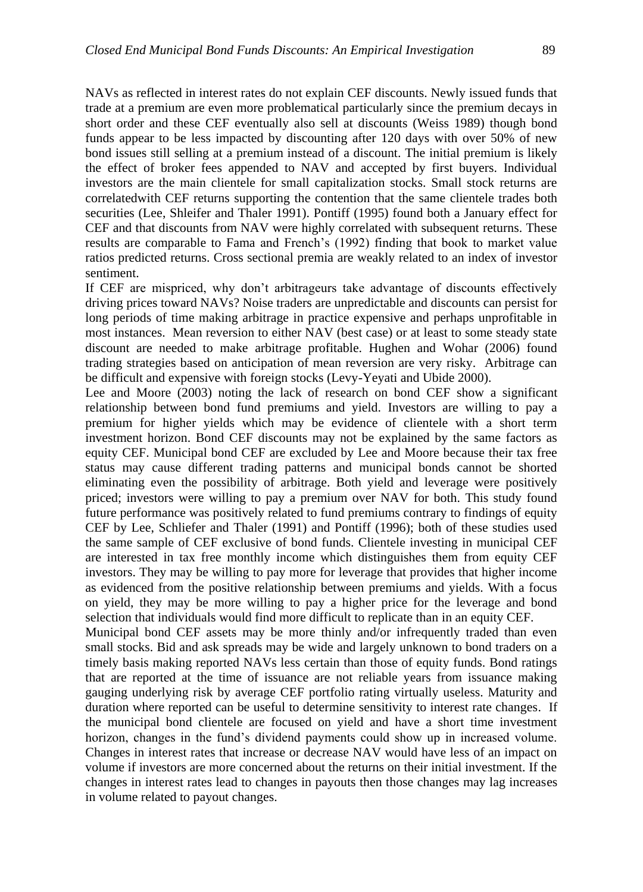NAVs as reflected in interest rates do not explain CEF discounts. Newly issued funds that trade at a premium are even more problematical particularly since the premium decays in short order and these CEF eventually also sell at discounts (Weiss 1989) though bond funds appear to be less impacted by discounting after 120 days with over 50% of new bond issues still selling at a premium instead of a discount. The initial premium is likely the effect of broker fees appended to NAV and accepted by first buyers. Individual investors are the main clientele for small capitalization stocks. Small stock returns are correlatedwith CEF returns supporting the contention that the same clientele trades both securities (Lee, Shleifer and Thaler 1991). Pontiff (1995) found both a January effect for CEF and that discounts from NAV were highly correlated with subsequent returns. These results are comparable to Fama and French's (1992) finding that book to market value ratios predicted returns. Cross sectional premia are weakly related to an index of investor sentiment.

If CEF are mispriced, why don't arbitrageurs take advantage of discounts effectively driving prices toward NAVs? Noise traders are unpredictable and discounts can persist for long periods of time making arbitrage in practice expensive and perhaps unprofitable in most instances. Mean reversion to either NAV (best case) or at least to some steady state discount are needed to make arbitrage profitable. Hughen and Wohar (2006) found trading strategies based on anticipation of mean reversion are very risky. Arbitrage can be difficult and expensive with foreign stocks (Levy-Yeyati and Ubide 2000).

Lee and Moore (2003) noting the lack of research on bond CEF show a significant relationship between bond fund premiums and yield. Investors are willing to pay a premium for higher yields which may be evidence of clientele with a short term investment horizon. Bond CEF discounts may not be explained by the same factors as equity CEF. Municipal bond CEF are excluded by Lee and Moore because their tax free status may cause different trading patterns and municipal bonds cannot be shorted eliminating even the possibility of arbitrage. Both yield and leverage were positively priced; investors were willing to pay a premium over NAV for both. This study found future performance was positively related to fund premiums contrary to findings of equity CEF by Lee, Schliefer and Thaler (1991) and Pontiff (1996); both of these studies used the same sample of CEF exclusive of bond funds. Clientele investing in municipal CEF are interested in tax free monthly income which distinguishes them from equity CEF investors. They may be willing to pay more for leverage that provides that higher income as evidenced from the positive relationship between premiums and yields. With a focus on yield, they may be more willing to pay a higher price for the leverage and bond selection that individuals would find more difficult to replicate than in an equity CEF.

Municipal bond CEF assets may be more thinly and/or infrequently traded than even small stocks. Bid and ask spreads may be wide and largely unknown to bond traders on a timely basis making reported NAVs less certain than those of equity funds. Bond ratings that are reported at the time of issuance are not reliable years from issuance making gauging underlying risk by average CEF portfolio rating virtually useless. Maturity and duration where reported can be useful to determine sensitivity to interest rate changes. If the municipal bond clientele are focused on yield and have a short time investment horizon, changes in the fund's dividend payments could show up in increased volume. Changes in interest rates that increase or decrease NAV would have less of an impact on volume if investors are more concerned about the returns on their initial investment. If the changes in interest rates lead to changes in payouts then those changes may lag increases in volume related to payout changes.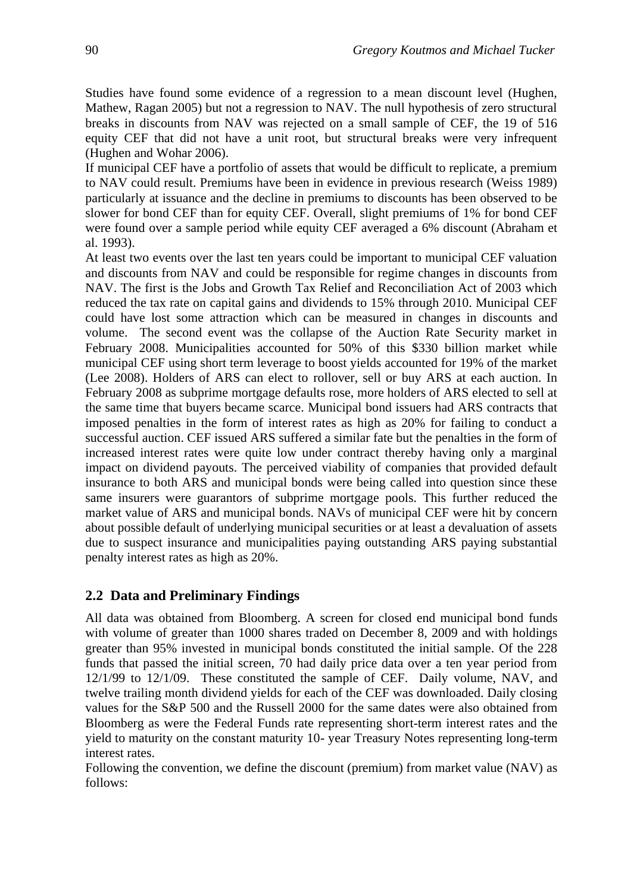Studies have found some evidence of a regression to a mean discount level (Hughen, Mathew, Ragan 2005) but not a regression to NAV. The null hypothesis of zero structural breaks in discounts from NAV was rejected on a small sample of CEF, the 19 of 516 equity CEF that did not have a unit root, but structural breaks were very infrequent (Hughen and Wohar 2006).

If municipal CEF have a portfolio of assets that would be difficult to replicate, a premium to NAV could result. Premiums have been in evidence in previous research (Weiss 1989) particularly at issuance and the decline in premiums to discounts has been observed to be slower for bond CEF than for equity CEF. Overall, slight premiums of 1% for bond CEF were found over a sample period while equity CEF averaged a 6% discount (Abraham et al. 1993).

At least two events over the last ten years could be important to municipal CEF valuation and discounts from NAV and could be responsible for regime changes in discounts from NAV. The first is the Jobs and Growth Tax Relief and Reconciliation Act of 2003 which reduced the tax rate on capital gains and dividends to 15% through 2010. Municipal CEF could have lost some attraction which can be measured in changes in discounts and volume. The second event was the collapse of the Auction Rate Security market in February 2008. Municipalities accounted for 50% of this \$330 billion market while municipal CEF using short term leverage to boost yields accounted for 19% of the market (Lee 2008). Holders of ARS can elect to rollover, sell or buy ARS at each auction. In February 2008 as subprime mortgage defaults rose, more holders of ARS elected to sell at the same time that buyers became scarce. Municipal bond issuers had ARS contracts that imposed penalties in the form of interest rates as high as 20% for failing to conduct a successful auction. CEF issued ARS suffered a similar fate but the penalties in the form of increased interest rates were quite low under contract thereby having only a marginal impact on dividend payouts. The perceived viability of companies that provided default insurance to both ARS and municipal bonds were being called into question since these same insurers were guarantors of subprime mortgage pools. This further reduced the market value of ARS and municipal bonds. NAVs of municipal CEF were hit by concern about possible default of underlying municipal securities or at least a devaluation of assets due to suspect insurance and municipalities paying outstanding ARS paying substantial penalty interest rates as high as 20%.

#### **2.2 Data and Preliminary Findings**

All data was obtained from Bloomberg. A screen for closed end municipal bond funds with volume of greater than 1000 shares traded on December 8, 2009 and with holdings greater than 95% invested in municipal bonds constituted the initial sample. Of the 228 funds that passed the initial screen, 70 had daily price data over a ten year period from 12/1/99 to 12/1/09. These constituted the sample of CEF. Daily volume, NAV, and twelve trailing month dividend yields for each of the CEF was downloaded. Daily closing values for the S&P 500 and the Russell 2000 for the same dates were also obtained from Bloomberg as were the Federal Funds rate representing short-term interest rates and the yield to maturity on the constant maturity 10- year Treasury Notes representing long-term interest rates.

Following the convention, we define the discount (premium) from market value (NAV) as follows: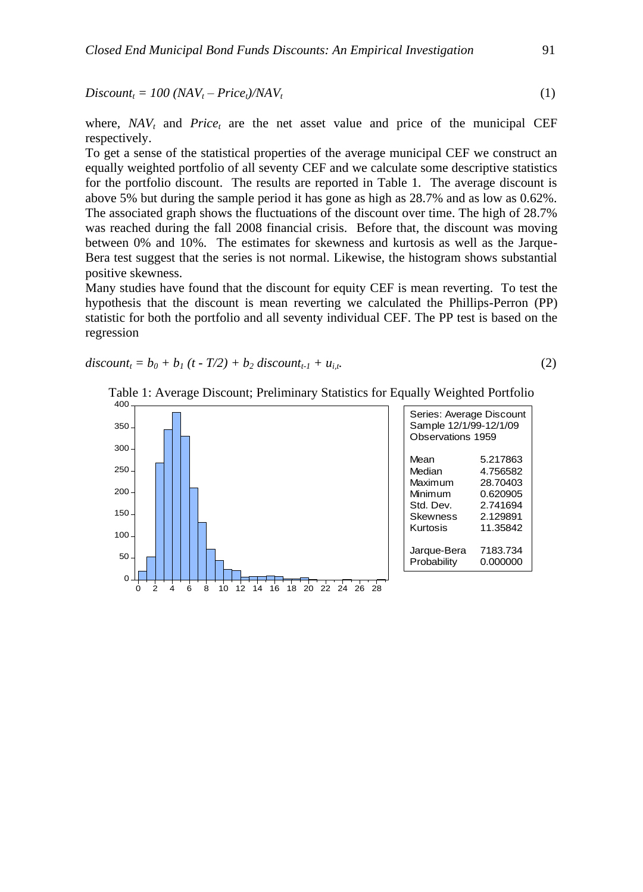$Discount_t = 100 (NAV_t - Price_t)/NAV_t$ 

where, *NAV<sup>t</sup>* and *Price<sup>t</sup>* are the net asset value and price of the municipal CEF respectively.

(1)

To get a sense of the statistical properties of the average municipal CEF we construct an equally weighted portfolio of all seventy CEF and we calculate some descriptive statistics for the portfolio discount. The results are reported in Table 1. The average discount is above 5% but during the sample period it has gone as high as 28.7% and as low as 0.62%. The associated graph shows the fluctuations of the discount over time. The high of 28.7% was reached during the fall 2008 financial crisis. Before that, the discount was moving between 0% and 10%. The estimates for skewness and kurtosis as well as the Jarque-Bera test suggest that the series is not normal. Likewise, the histogram shows substantial positive skewness.

Many studies have found that the discount for equity CEF is mean reverting. To test the hypothesis that the discount is mean reverting we calculated the Phillips-Perron (PP) statistic for both the portfolio and all seventy individual CEF. The PP test is based on the regression

*discount<sub>t</sub>* =  $b_0 + b_1$  (*t* - *T/2*) +  $b_2$  *discount<sub>t-1</sub>* +  $u_i$ , (2)



Table 1: Average Discount; Preliminary Statistics for Equally Weighted Portfolio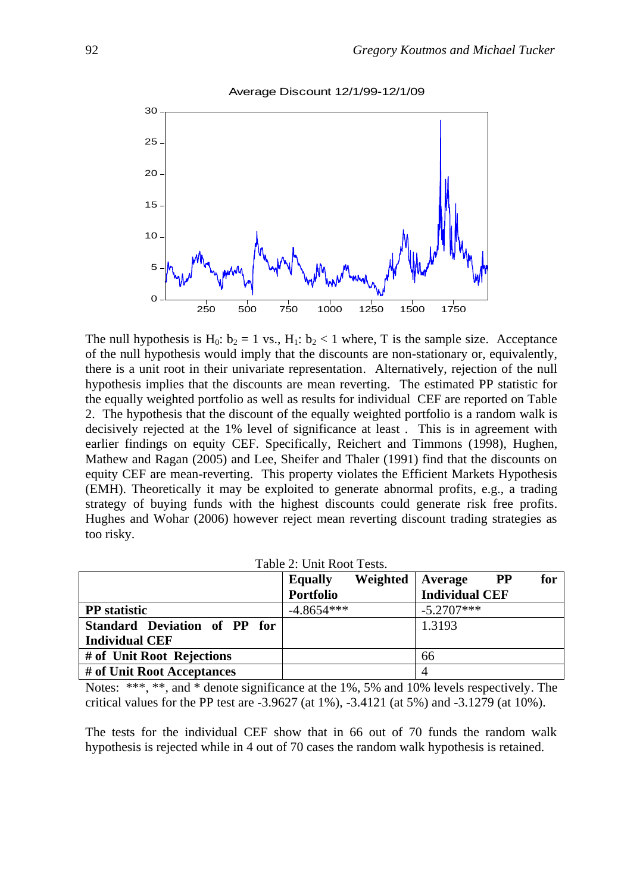



The null hypothesis is H<sub>0</sub>:  $b_2 = 1$  vs., H<sub>1</sub>:  $b_2 < 1$  where, T is the sample size. Acceptance of the null hypothesis would imply that the discounts are non-stationary or, equivalently, there is a unit root in their univariate representation. Alternatively, rejection of the null hypothesis implies that the discounts are mean reverting. The estimated PP statistic for the equally weighted portfolio as well as results for individual CEF are reported on Table 2. The hypothesis that the discount of the equally weighted portfolio is a random walk is decisively rejected at the 1% level of significance at least . This is in agreement with earlier findings on equity CEF. Specifically, Reichert and Timmons (1998), Hughen, Mathew and Ragan (2005) and Lee, Sheifer and Thaler (1991) find that the discounts on equity CEF are mean-reverting. This property violates the Efficient Markets Hypothesis (EMH). Theoretically it may be exploited to generate abnormal profits, e.g., a trading strategy of buying funds with the highest discounts could generate risk free profits. Hughes and Wohar (2006) however reject mean reverting discount trading strategies as too risky.

|  | Table 2: Unit Root Tests. |  |
|--|---------------------------|--|
|--|---------------------------|--|

|                              | <b>Equally</b>   | Weighted | Average               | $\bf PP$ | for |
|------------------------------|------------------|----------|-----------------------|----------|-----|
|                              | <b>Portfolio</b> |          | <b>Individual CEF</b> |          |     |
| <b>PP</b> statistic          | $-4.8654***$     |          | $-5.2707***$          |          |     |
| Standard Deviation of PP for |                  |          | 1.3193                |          |     |
| <b>Individual CEF</b>        |                  |          |                       |          |     |
| # of Unit Root Rejections    |                  |          | 66                    |          |     |
| # of Unit Root Acceptances   |                  |          | 4                     |          |     |

Notes: \*\*\*, \*\*, and \* denote significance at the 1%, 5% and 10% levels respectively. The critical values for the PP test are  $-3.9627$  (at 1%),  $-3.4121$  (at 5%) and  $-3.1279$  (at 10%).

The tests for the individual CEF show that in 66 out of 70 funds the random walk hypothesis is rejected while in 4 out of 70 cases the random walk hypothesis is retained.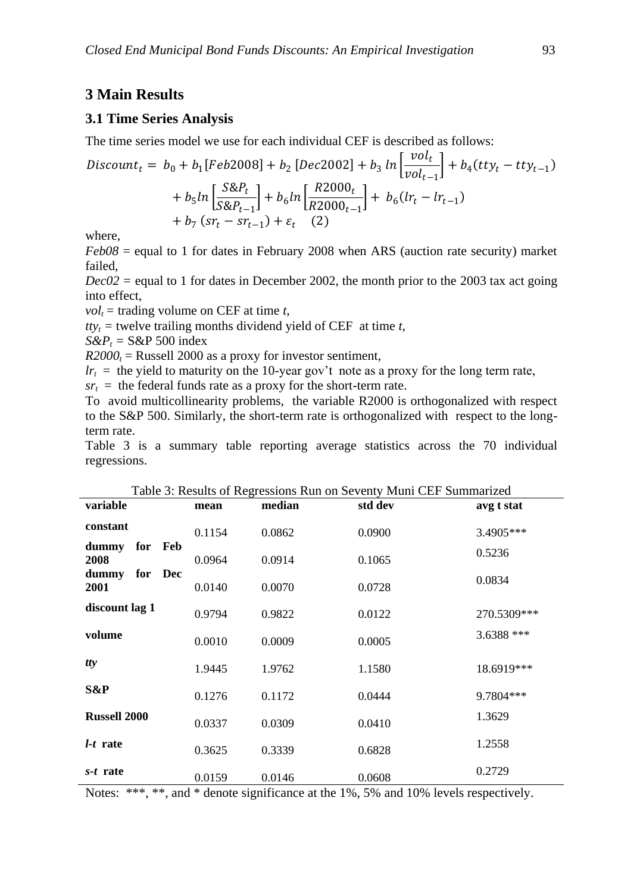# **3 Main Results**

#### **3.1 Time Series Analysis**

The time series model we use for each individual CEF is described as follows:

$$
Discount_{t} = b_{0} + b_{1}[Feb2008] + b_{2}[Dec2002] + b_{3} ln \left[ \frac{vol_{t}}{vol_{t-1}} \right] + b_{4}(try_{t} - try_{t-1})
$$
  
+  $b_{5} ln \left[ \frac{S\&P_{t}}{S\&P_{t-1}} \right] + b_{6} ln \left[ \frac{R2000_{t}}{R2000_{t-1}} \right] + b_{6}(Ir_{t} - Ir_{t-1})$   
+  $b_{7}(sr_{t} - sr_{t-1}) + \varepsilon_{t}$  (2)

where,

*Feb08* = equal to 1 for dates in February 2008 when ARS (auction rate security) market failed,

 $Dec02 =$  equal to 1 for dates in December 2002, the month prior to the 2003 tax act going into effect,

 $vol_t$  = trading volume on CEF at time *t*,

 $t t v_t$  = twelve trailing months dividend yield of CEF at time *t*,

 $S\&P_t = S\&P 500$  index

 $R2000<sub>t</sub>$  = Russell 2000 as a proxy for investor sentiment,

 $lr<sub>t</sub>$  = the yield to maturity on the 10-year gov't note as a proxy for the long term rate,

 $sr<sub>t</sub>$  = the federal funds rate as a proxy for the short-term rate.

To avoid multicollinearity problems, the variable R2000 is orthogonalized with respect to the S&P 500. Similarly, the short-term rate is orthogonalized with respect to the longterm rate.

Table 3 is a summary table reporting average statistics across the 70 individual regressions.

| Table 3: Results of Regressions Run on Seventy Muni CEF Summarized |     |         |        |        |         |              |
|--------------------------------------------------------------------|-----|---------|--------|--------|---------|--------------|
| variable                                                           |     |         | mean   | median | std dev | avg t stat   |
| constant                                                           |     |         | 0.1154 | 0.0862 | 0.0900  | 3.4905***    |
| dummy<br>2008                                                      | for | Feb     | 0.0964 | 0.0914 | 0.1065  | 0.5236       |
| dummy<br>2001                                                      |     | for Dec | 0.0140 | 0.0070 | 0.0728  | 0.0834       |
| discount lag 1                                                     |     |         | 0.9794 | 0.9822 | 0.0122  | 270.5309***  |
| volume                                                             |     |         | 0.0010 | 0.0009 | 0.0005  | $3.6388$ *** |
| tty                                                                |     |         | 1.9445 | 1.9762 | 1.1580  | 18.6919***   |
| S&P                                                                |     |         | 0.1276 | 0.1172 | 0.0444  | 9.7804***    |
| <b>Russell 2000</b>                                                |     |         | 0.0337 | 0.0309 | 0.0410  | 1.3629       |
| $l-t$ rate                                                         |     |         | 0.3625 | 0.3339 | 0.6828  | 1.2558       |
| s-t rate                                                           |     |         | 0.0159 | 0.0146 | 0.0608  | 0.2729       |

Table 3: Results of Regressions Run on Seventy Muni CEF Summarized

Notes: \*\*\*, \*\*, and \* denote significance at the 1%, 5% and 10% levels respectively.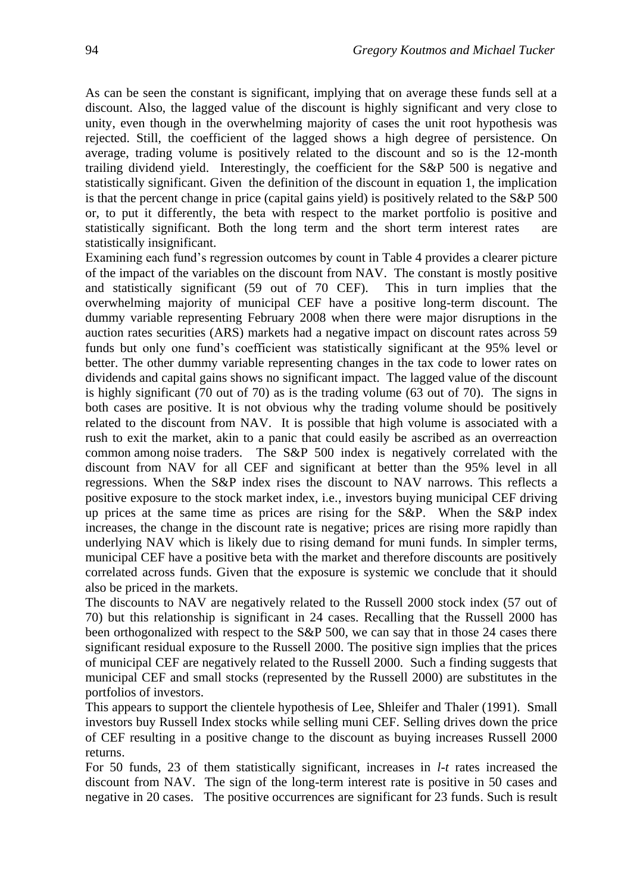As can be seen the constant is significant, implying that on average these funds sell at a discount. Also, the lagged value of the discount is highly significant and very close to unity, even though in the overwhelming majority of cases the unit root hypothesis was rejected. Still, the coefficient of the lagged shows a high degree of persistence. On average, trading volume is positively related to the discount and so is the 12-month trailing dividend yield. Interestingly, the coefficient for the S&P 500 is negative and statistically significant. Given the definition of the discount in equation 1, the implication is that the percent change in price (capital gains yield) is positively related to the S&P 500 or, to put it differently, the beta with respect to the market portfolio is positive and statistically significant. Both the long term and the short term interest rates are statistically insignificant.

Examining each fund's regression outcomes by count in Table 4 provides a clearer picture of the impact of the variables on the discount from NAV. The constant is mostly positive and statistically significant (59 out of 70 CEF). This in turn implies that the overwhelming majority of municipal CEF have a positive long-term discount. The dummy variable representing February 2008 when there were major disruptions in the auction rates securities (ARS) markets had a negative impact on discount rates across 59 funds but only one fund's coefficient was statistically significant at the 95% level or better. The other dummy variable representing changes in the tax code to lower rates on dividends and capital gains shows no significant impact. The lagged value of the discount is highly significant (70 out of 70) as is the trading volume (63 out of 70). The signs in both cases are positive. It is not obvious why the trading volume should be positively related to the discount from NAV. It is possible that high volume is associated with a rush to exit the market, akin to a panic that could easily be ascribed as an overreaction common among noise traders. The S&P 500 index is negatively correlated with the discount from NAV for all CEF and significant at better than the 95% level in all regressions. When the S&P index rises the discount to NAV narrows. This reflects a positive exposure to the stock market index, i.e., investors buying municipal CEF driving up prices at the same time as prices are rising for the  $S\&P$ . When the  $S\&P$  index increases, the change in the discount rate is negative; prices are rising more rapidly than underlying NAV which is likely due to rising demand for muni funds. In simpler terms, municipal CEF have a positive beta with the market and therefore discounts are positively correlated across funds. Given that the exposure is systemic we conclude that it should also be priced in the markets.

The discounts to NAV are negatively related to the Russell 2000 stock index (57 out of 70) but this relationship is significant in 24 cases. Recalling that the Russell 2000 has been orthogonalized with respect to the S&P 500, we can say that in those 24 cases there significant residual exposure to the Russell 2000. The positive sign implies that the prices of municipal CEF are negatively related to the Russell 2000. Such a finding suggests that municipal CEF and small stocks (represented by the Russell 2000) are substitutes in the portfolios of investors.

This appears to support the clientele hypothesis of Lee, Shleifer and Thaler (1991). Small investors buy Russell Index stocks while selling muni CEF. Selling drives down the price of CEF resulting in a positive change to the discount as buying increases Russell 2000 returns.

For 50 funds, 23 of them statistically significant, increases in *l-t* rates increased the discount from NAV. The sign of the long-term interest rate is positive in 50 cases and negative in 20 cases. The positive occurrences are significant for 23 funds. Such is result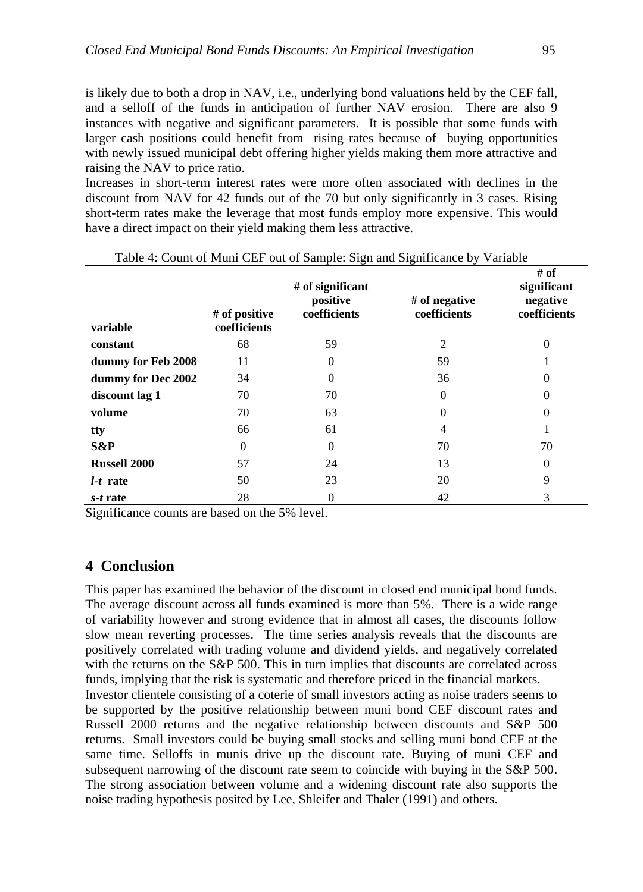is likely due to both a drop in NAV, i.e., underlying bond valuations held by the CEF fall, and a selloff of the funds in anticipation of further NAV erosion. There are also 9 instances with negative and significant parameters. It is possible that some funds with larger cash positions could benefit from rising rates because of buying opportunities with newly issued municipal debt offering higher yields making them more attractive and raising the NAV to price ratio.

Increases in short-term interest rates were more often associated with declines in the discount from NAV for 42 funds out of the 70 but only significantly in 3 cases. Rising short-term rates make the leverage that most funds employ more expensive. This would have a direct impact on their yield making them less attractive.

| variable            | # of positive<br>coefficients | # of significant<br>positive<br>coefficients | $#$ of negative<br>coefficients | # of<br>significant<br>negative<br>coefficients |
|---------------------|-------------------------------|----------------------------------------------|---------------------------------|-------------------------------------------------|
| constant            | 68                            | 59                                           | 2                               | $\theta$                                        |
| dummy for Feb 2008  | 11                            | $\theta$                                     | 59                              |                                                 |
| dummy for Dec 2002  | 34                            | $\Omega$                                     | 36                              | $\theta$                                        |
| discount lag 1      | 70                            | 70                                           | $\Omega$                        | $\overline{0}$                                  |
| volume              | 70                            | 63                                           | $\Omega$                        | $\theta$                                        |
| tty                 | 66                            | 61                                           | 4                               |                                                 |
| S&P                 | 0                             | $\theta$                                     | 70                              | 70                                              |
| <b>Russell 2000</b> | 57                            | 24                                           | 13                              | $\theta$                                        |
| <i>l-t</i> rate     | 50                            | 23                                           | 20                              | 9                                               |
| s-t rate            | 28                            | 0                                            | 42                              | 3                                               |

Table 4: Count of Muni CEF out of Sample: Sign and Significance by Variable

Significance counts are based on the 5% level.

## **4 Conclusion**

This paper has examined the behavior of the discount in closed end municipal bond funds. The average discount across all funds examined is more than 5%. There is a wide range of variability however and strong evidence that in almost all cases, the discounts follow slow mean reverting processes. The time series analysis reveals that the discounts are positively correlated with trading volume and dividend yields, and negatively correlated with the returns on the S&P 500. This in turn implies that discounts are correlated across funds, implying that the risk is systematic and therefore priced in the financial markets. Investor clientele consisting of a coterie of small investors acting as noise traders seems to be supported by the positive relationship between muni bond CEF discount rates and Russell 2000 returns and the negative relationship between discounts and S&P 500 returns. Small investors could be buying small stocks and selling muni bond CEF at the same time. Selloffs in munis drive up the discount rate. Buying of muni CEF and subsequent narrowing of the discount rate seem to coincide with buying in the S&P 500.

The strong association between volume and a widening discount rate also supports the noise trading hypothesis posited by Lee, Shleifer and Thaler (1991) and others.